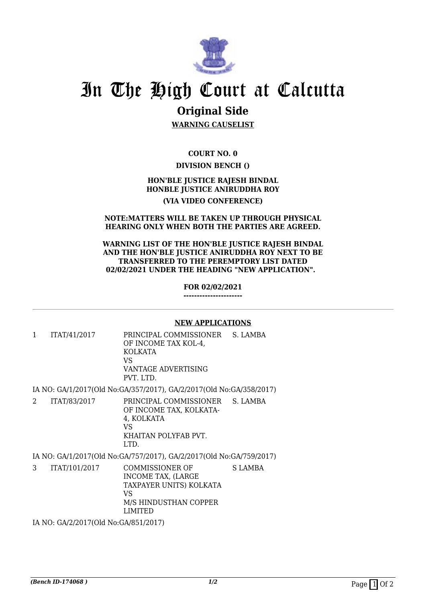

# In The High Court at Calcutta

# **Original Side**

**WARNING CAUSELIST**

**COURT NO. 0**

## **DIVISION BENCH ()**

### **HON'BLE JUSTICE RAJESH BINDAL HONBLE JUSTICE ANIRUDDHA ROY**

#### **(VIA VIDEO CONFERENCE)**

#### **NOTE:MATTERS WILL BE TAKEN UP THROUGH PHYSICAL HEARING ONLY WHEN BOTH THE PARTIES ARE AGREED.**

#### **WARNING LIST OF THE HON'BLE JUSTICE RAJESH BINDAL AND THE HON'BLE JUSTICE ANIRUDDHA ROY NEXT TO BE TRANSFERRED TO THE PEREMPTORY LIST DATED 02/02/2021 UNDER THE HEADING "NEW APPLICATION".**

**FOR 02/02/2021**

**----------------------**

#### **NEW APPLICATIONS**

1 ITAT/41/2017 PRINCIPAL COMMISSIONER OF INCOME TAX KOL-4, KOLKATA VS VANTAGE ADVERTISING PVT. LTD. S. LAMBA

IA NO: GA/1/2017(Old No:GA/357/2017), GA/2/2017(Old No:GA/358/2017)

2 ITAT/83/2017 PRINCIPAL COMMISSIONER OF INCOME TAX, KOLKATA-4, KOLKATA VS KHAITAN POLYFAB PVT. LTD. S. LAMBA

IA NO: GA/1/2017(Old No:GA/757/2017), GA/2/2017(Old No:GA/759/2017)

3 ITAT/101/2017 COMMISSIONER OF INCOME TAX, (LARGE TAXPAYER UNITS) KOLKATA VS M/S HINDUSTHAN COPPER LIMITED S LAMBA

IA NO: GA/2/2017(Old No:GA/851/2017)